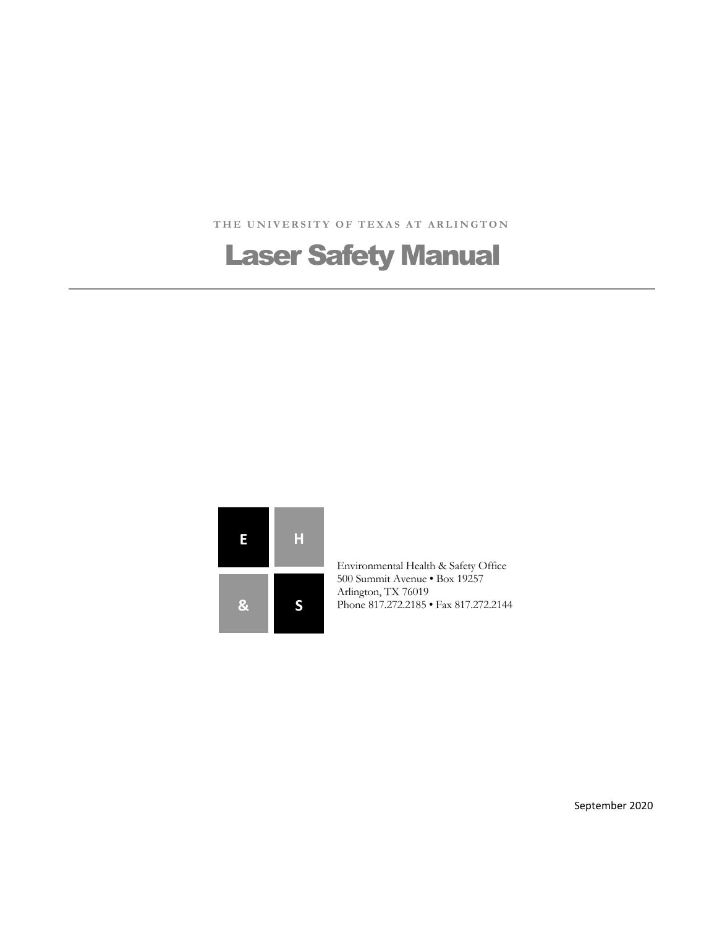THE UNIVERSITY OF TEXAS AT ARLINGTON

# Laser Safety Manual



Environmental Health & Safety Office 500 Summit Avenue • Box 19257 Arlington, TX 76019 **S** Phone 817.272.2185 • Fax 817.272.2144

September 2020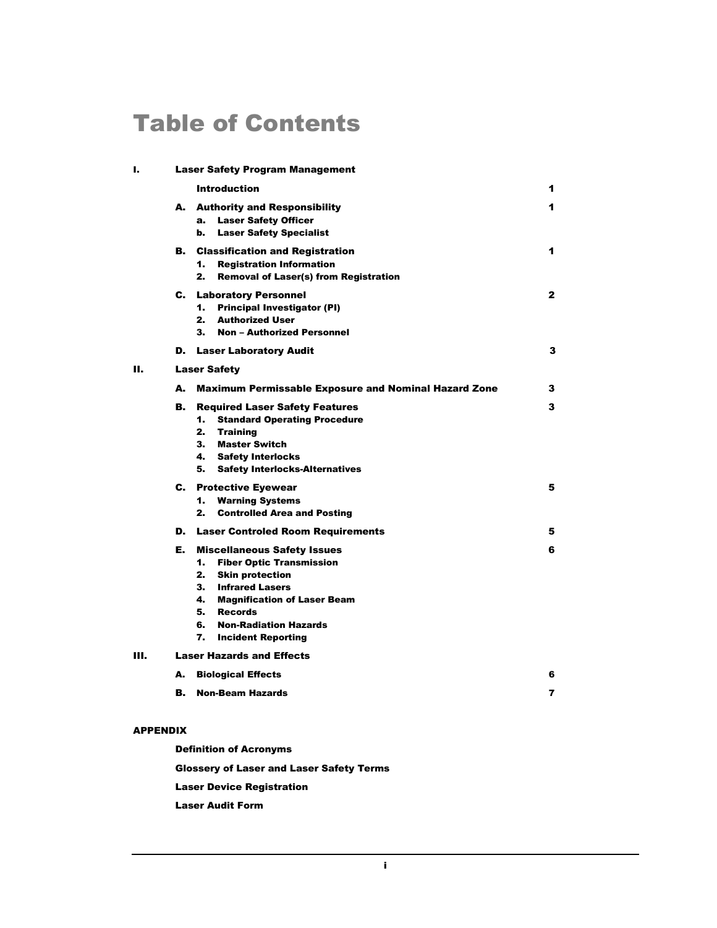# Table of Contents

| ı. | <b>Laser Safety Program Management</b> |                                                                                                                                                                                                                                                  |                         |
|----|----------------------------------------|--------------------------------------------------------------------------------------------------------------------------------------------------------------------------------------------------------------------------------------------------|-------------------------|
|    |                                        | <b>Introduction</b>                                                                                                                                                                                                                              | 1                       |
|    |                                        | A. Authority and Responsibility<br><b>Laser Safety Officer</b><br>a.<br><b>Laser Safety Specialist</b><br>b.                                                                                                                                     | 1                       |
|    |                                        | <b>B.</b> Classification and Registration<br>1.<br><b>Registration Information</b><br>2.<br><b>Removal of Laser(s) from Registration</b>                                                                                                         | 1                       |
|    |                                        | <b>C.</b> Laboratory Personnel<br><b>Principal Investigator (PI)</b><br>1.<br>2.<br><b>Authorized User</b><br><b>Non - Authorized Personnel</b><br>3.                                                                                            | $\mathbf{2}$            |
|    |                                        | <b>D.</b> Laser Laboratory Audit                                                                                                                                                                                                                 | з                       |
| н. | <b>Laser Safety</b>                    |                                                                                                                                                                                                                                                  |                         |
|    | А.                                     | <b>Maximum Permissable Exposure and Nominal Hazard Zone</b>                                                                                                                                                                                      | 3                       |
|    | В.                                     | <b>Required Laser Safety Features</b><br>1.<br><b>Standard Operating Procedure</b><br>2. Training<br>3. Master Switch<br>4. Safety Interlocks<br>5.<br><b>Safety Interlocks-Alternatives</b>                                                     | з                       |
|    |                                        | <b>C.</b> Protective Eyewear<br><b>Warning Systems</b><br>1.<br><b>Controlled Area and Posting</b><br>2.                                                                                                                                         | 5                       |
|    |                                        | <b>D.</b> Laser Controled Room Requirements                                                                                                                                                                                                      | 5                       |
|    | Е.                                     | <b>Miscellaneous Safety Issues</b><br>1.<br><b>Fiber Optic Transmission</b><br>2. Skin protection<br>3. Infrared Lasers<br>4. Magnification of Laser Beam<br>5. Records<br><b>Non-Radiation Hazards</b><br>6.<br>7.<br><b>Incident Reporting</b> | 6                       |
| Ш. | <b>Laser Hazards and Effects</b>       |                                                                                                                                                                                                                                                  |                         |
|    | А.                                     | <b>Biological Effects</b>                                                                                                                                                                                                                        | 6                       |
|    | В.                                     | <b>Non-Beam Hazards</b>                                                                                                                                                                                                                          | $\overline{\mathbf{r}}$ |
|    |                                        |                                                                                                                                                                                                                                                  |                         |

#### APPENDIX

Definition of Acronyms

Glossery of Laser and Laser Safety Terms

Laser Device Registration

Laser Audit Form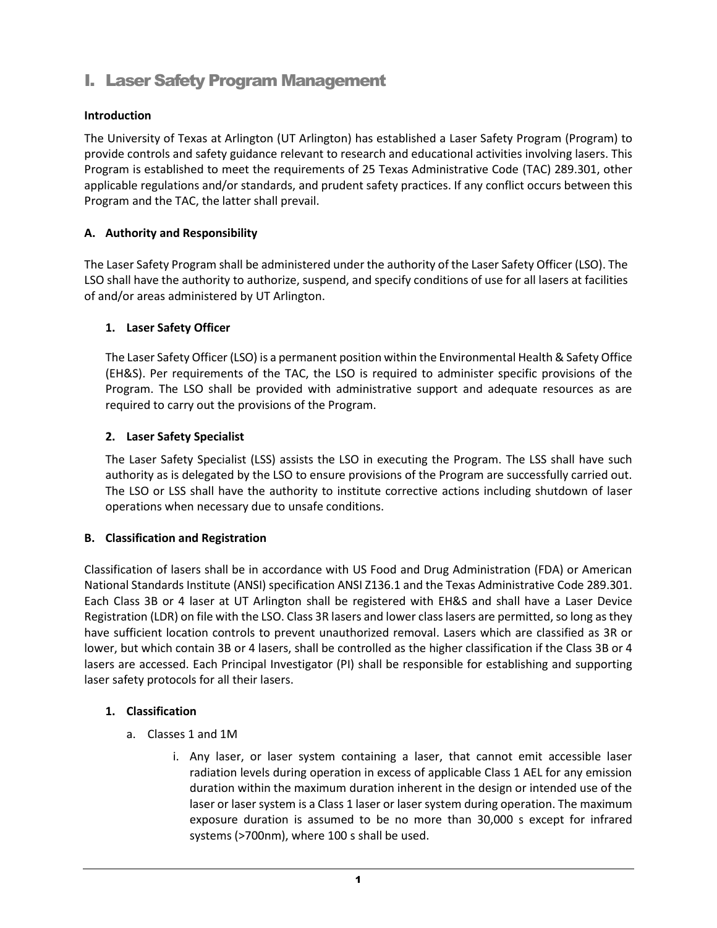# I. Laser Safety Program Management

# **Introduction**

The University of Texas at Arlington (UT Arlington) has established a Laser Safety Program (Program) to provide controls and safety guidance relevant to research and educational activities involving lasers. This Program is established to meet the requirements of 25 Texas Administrative Code (TAC) 289.301, other applicable regulations and/or standards, and prudent safety practices. If any conflict occurs between this Program and the TAC, the latter shall prevail.

## **A. Authority and Responsibility**

The Laser Safety Program shall be administered under the authority of the Laser Safety Officer (LSO). The LSO shall have the authority to authorize, suspend, and specify conditions of use for all lasers at facilities of and/or areas administered by UT Arlington.

### **1. Laser Safety Officer**

The Laser Safety Officer (LSO) is a permanent position within the Environmental Health & Safety Office (EH&S). Per requirements of the TAC, the LSO is required to administer specific provisions of the Program. The LSO shall be provided with administrative support and adequate resources as are required to carry out the provisions of the Program.

### **2. Laser Safety Specialist**

The Laser Safety Specialist (LSS) assists the LSO in executing the Program. The LSS shall have such authority as is delegated by the LSO to ensure provisions of the Program are successfully carried out. The LSO or LSS shall have the authority to institute corrective actions including shutdown of laser operations when necessary due to unsafe conditions.

# **B. Classification and Registration**

Classification of lasers shall be in accordance with US Food and Drug Administration (FDA) or American National Standards Institute (ANSI) specification ANSI Z136.1 and the Texas Administrative Code 289.301. Each Class 3B or 4 laser at UT Arlington shall be registered with EH&S and shall have a Laser Device Registration (LDR) on file with the LSO. Class 3R lasers and lower class lasers are permitted, so long as they have sufficient location controls to prevent unauthorized removal. Lasers which are classified as 3R or lower, but which contain 3B or 4 lasers, shall be controlled as the higher classification if the Class 3B or 4 lasers are accessed. Each Principal Investigator (PI) shall be responsible for establishing and supporting laser safety protocols for all their lasers.

#### **1. Classification**

- a. Classes 1 and 1M
	- i. Any laser, or laser system containing a laser, that cannot emit accessible laser radiation levels during operation in excess of applicable Class 1 AEL for any emission duration within the maximum duration inherent in the design or intended use of the laser or laser system is a Class 1 laser or laser system during operation. The maximum exposure duration is assumed to be no more than 30,000 s except for infrared systems (>700nm), where 100 s shall be used.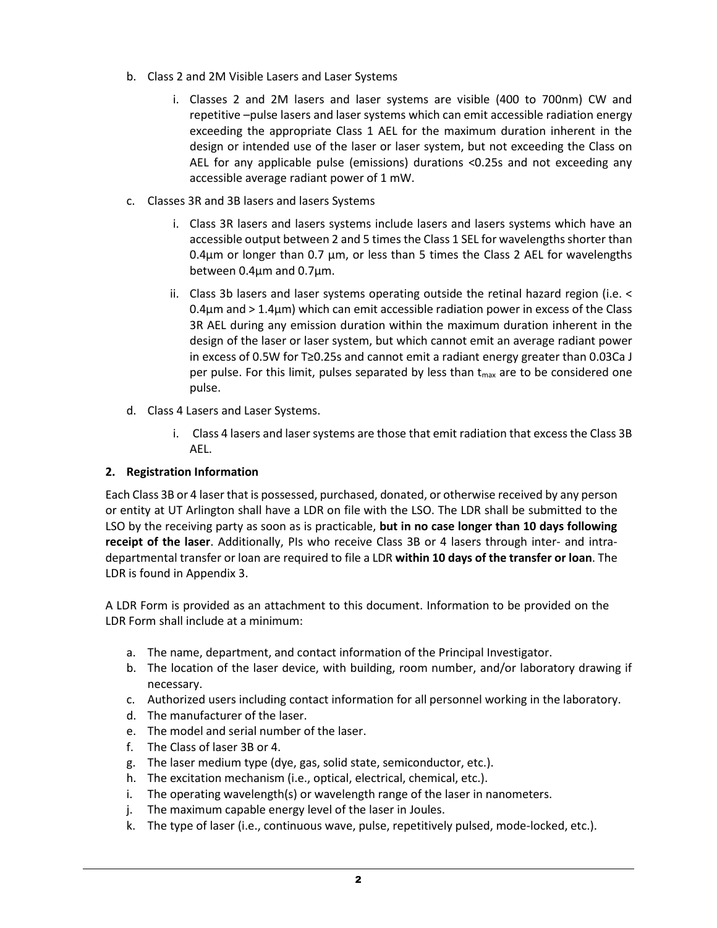- b. Class 2 and 2M Visible Lasers and Laser Systems
	- i. Classes 2 and 2M lasers and laser systems are visible (400 to 700nm) CW and repetitive –pulse lasers and laser systems which can emit accessible radiation energy exceeding the appropriate Class 1 AEL for the maximum duration inherent in the design or intended use of the laser or laser system, but not exceeding the Class on AEL for any applicable pulse (emissions) durations <0.25s and not exceeding any accessible average radiant power of 1 mW.
- c. Classes 3R and 3B lasers and lasers Systems
	- i. Class 3R lasers and lasers systems include lasers and lasers systems which have an accessible output between 2 and 5 times the Class 1 SEL for wavelengths shorter than  $0.4\mu$ m or longer than 0.7  $\mu$ m, or less than 5 times the Class 2 AEL for wavelengths between 0.4µm and 0.7µm.
	- ii. Class 3b lasers and laser systems operating outside the retinal hazard region (i.e. <  $0.4\mu$ m and > 1.4 $\mu$ m) which can emit accessible radiation power in excess of the Class 3R AEL during any emission duration within the maximum duration inherent in the design of the laser or laser system, but which cannot emit an average radiant power in excess of 0.5W for T≥0.25s and cannot emit a radiant energy greater than 0.03Ca J per pulse. For this limit, pulses separated by less than  $t_{\text{max}}$  are to be considered one pulse.
- d. Class 4 Lasers and Laser Systems.
	- i. Class 4 lasers and laser systems are those that emit radiation that excess the Class 3B AEL.

# **2. Registration Information**

Each Class 3B or 4 laser that is possessed, purchased, donated, or otherwise received by any person or entity at UT Arlington shall have a LDR on file with the LSO. The LDR shall be submitted to the LSO by the receiving party as soon as is practicable, **but in no case longer than 10 days following receipt of the laser**. Additionally, PIs who receive Class 3B or 4 lasers through inter- and intradepartmental transfer or loan are required to file a LDR **within 10 days of the transfer or loan**. The LDR is found in Appendix 3.

A LDR Form is provided as an attachment to this document. Information to be provided on the LDR Form shall include at a minimum:

- a. The name, department, and contact information of the Principal Investigator.
- b. The location of the laser device, with building, room number, and/or laboratory drawing if necessary.
- c. Authorized users including contact information for all personnel working in the laboratory.
- d. The manufacturer of the laser.
- e. The model and serial number of the laser.
- f. The Class of laser 3B or 4.
- g. The laser medium type (dye, gas, solid state, semiconductor, etc.).
- h. The excitation mechanism (i.e., optical, electrical, chemical, etc.).
- i. The operating wavelength(s) or wavelength range of the laser in nanometers.
- j. The maximum capable energy level of the laser in Joules.
- k. The type of laser (i.e., continuous wave, pulse, repetitively pulsed, mode-locked, etc.).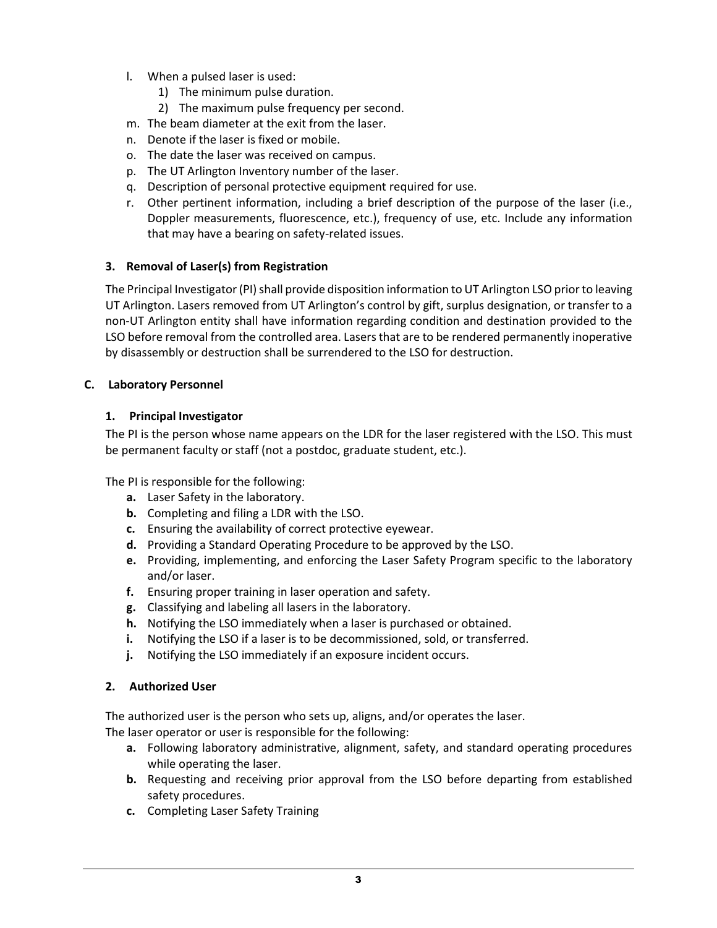- l. When a pulsed laser is used:
	- 1) The minimum pulse duration.
	- 2) The maximum pulse frequency per second.
- m. The beam diameter at the exit from the laser.
- n. Denote if the laser is fixed or mobile.
- o. The date the laser was received on campus.
- p. The UT Arlington Inventory number of the laser.
- q. Description of personal protective equipment required for use.
- r. Other pertinent information, including a brief description of the purpose of the laser (i.e., Doppler measurements, fluorescence, etc.), frequency of use, etc. Include any information that may have a bearing on safety-related issues.

### **3. Removal of Laser(s) from Registration**

The Principal Investigator (PI) shall provide disposition information to UT Arlington LSO prior to leaving UT Arlington. Lasers removed from UT Arlington's control by gift, surplus designation, or transfer to a non-UT Arlington entity shall have information regarding condition and destination provided to the LSO before removal from the controlled area. Lasers that are to be rendered permanently inoperative by disassembly or destruction shall be surrendered to the LSO for destruction.

#### **C. Laboratory Personnel**

### **1. Principal Investigator**

The PI is the person whose name appears on the LDR for the laser registered with the LSO. This must be permanent faculty or staff (not a postdoc, graduate student, etc.).

The PI is responsible for the following:

- **a.** Laser Safety in the laboratory.
- **b.** Completing and filing a LDR with the LSO.
- **c.** Ensuring the availability of correct protective eyewear.
- **d.** Providing a Standard Operating Procedure to be approved by the LSO.
- **e.** Providing, implementing, and enforcing the Laser Safety Program specific to the laboratory and/or laser.
- **f.** Ensuring proper training in laser operation and safety.
- **g.** Classifying and labeling all lasers in the laboratory.
- **h.** Notifying the LSO immediately when a laser is purchased or obtained.
- **i.** Notifying the LSO if a laser is to be decommissioned, sold, or transferred.
- **j.** Notifying the LSO immediately if an exposure incident occurs.

#### **2. Authorized User**

The authorized user is the person who sets up, aligns, and/or operates the laser.

The laser operator or user is responsible for the following:

- **a.** Following laboratory administrative, alignment, safety, and standard operating procedures while operating the laser.
- **b.** Requesting and receiving prior approval from the LSO before departing from established safety procedures.
- **c.** Completing Laser Safety Training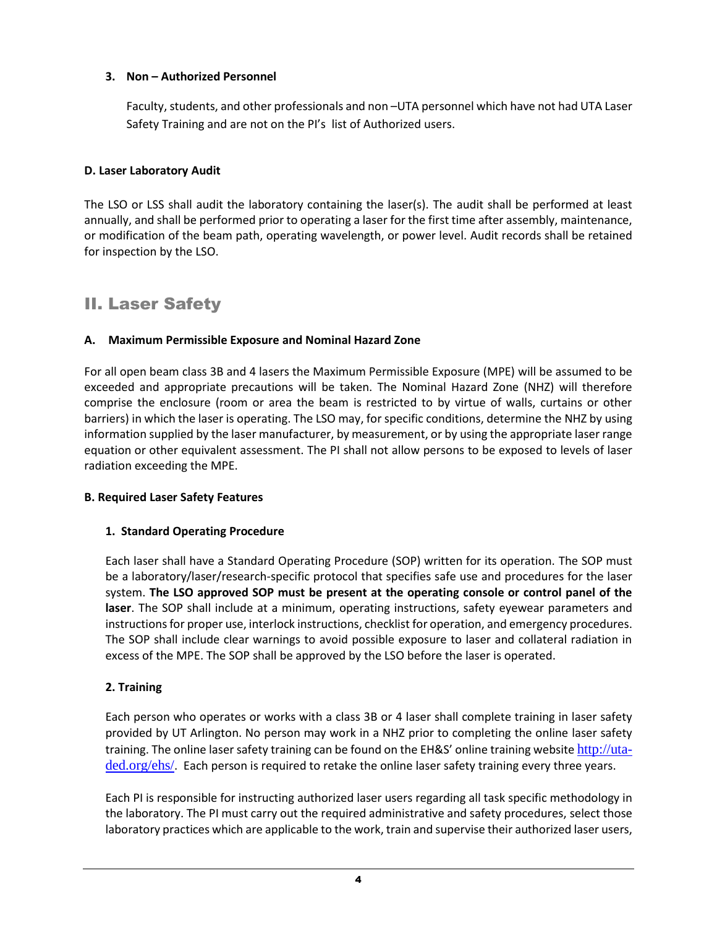## **3. Non – Authorized Personnel**

Faculty, students, and other professionals and non –UTA personnel which have not had UTA Laser Safety Training and are not on the PI's list of Authorized users.

### **D. Laser Laboratory Audit**

The LSO or LSS shall audit the laboratory containing the laser(s). The audit shall be performed at least annually, and shall be performed prior to operating a laser for the first time after assembly, maintenance, or modification of the beam path, operating wavelength, or power level. Audit records shall be retained for inspection by the LSO.

# II. Laser Safety

#### **A. Maximum Permissible Exposure and Nominal Hazard Zone**

For all open beam class 3B and 4 lasers the Maximum Permissible Exposure (MPE) will be assumed to be exceeded and appropriate precautions will be taken. The Nominal Hazard Zone (NHZ) will therefore comprise the enclosure (room or area the beam is restricted to by virtue of walls, curtains or other barriers) in which the laser is operating. The LSO may, for specific conditions, determine the NHZ by using information supplied by the laser manufacturer, by measurement, or by using the appropriate laser range equation or other equivalent assessment. The PI shall not allow persons to be exposed to levels of laser radiation exceeding the MPE.

#### **B. Required Laser Safety Features**

#### **1. Standard Operating Procedure**

Each laser shall have a Standard Operating Procedure (SOP) written for its operation. The SOP must be a laboratory/laser/research-specific protocol that specifies safe use and procedures for the laser system. **The LSO approved SOP must be present at the operating console or control panel of the laser**. The SOP shall include at a minimum, operating instructions, safety eyewear parameters and instructions for proper use, interlock instructions, checklist for operation, and emergency procedures. The SOP shall include clear warnings to avoid possible exposure to laser and collateral radiation in excess of the MPE. The SOP shall be approved by the LSO before the laser is operated.

#### **2. Training**

Each person who operates or works with a class 3B or 4 laser shall complete training in laser safety provided by UT Arlington. No person may work in a NHZ prior to completing the online laser safety training. The online laser safety training can be found on the EH&S' online training website [http://uta](http://uta-ded.org/ehs/)[ded.org/ehs/](http://uta-ded.org/ehs/). Each person is required to retake the online laser safety training every three years.

Each PI is responsible for instructing authorized laser users regarding all task specific methodology in the laboratory. The PI must carry out the required administrative and safety procedures, select those laboratory practices which are applicable to the work, train and supervise their authorized laser users,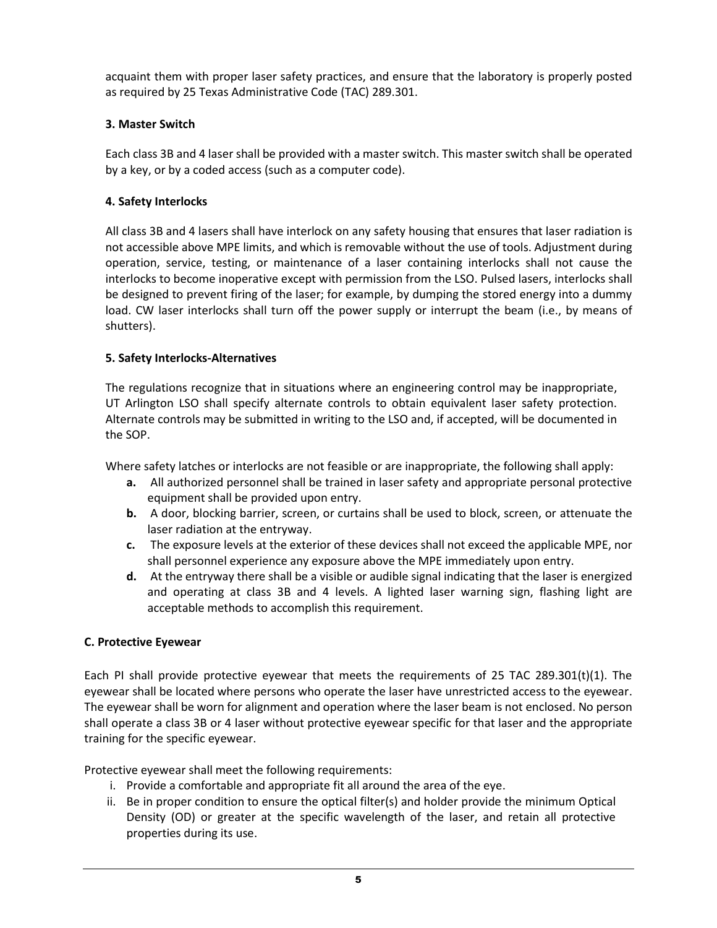acquaint them with proper laser safety practices, and ensure that the laboratory is properly posted as required by 25 Texas Administrative Code (TAC) 289.301.

#### **3. Master Switch**

Each class 3B and 4 laser shall be provided with a master switch. This master switch shall be operated by a key, or by a coded access (such as a computer code).

#### **4. Safety Interlocks**

All class 3B and 4 lasers shall have interlock on any safety housing that ensures that laser radiation is not accessible above MPE limits, and which is removable without the use of tools. Adjustment during operation, service, testing, or maintenance of a laser containing interlocks shall not cause the interlocks to become inoperative except with permission from the LSO. Pulsed lasers, interlocks shall be designed to prevent firing of the laser; for example, by dumping the stored energy into a dummy load. CW laser interlocks shall turn off the power supply or interrupt the beam (i.e., by means of shutters).

### **5. Safety Interlocks-Alternatives**

The regulations recognize that in situations where an engineering control may be inappropriate, UT Arlington LSO shall specify alternate controls to obtain equivalent laser safety protection. Alternate controls may be submitted in writing to the LSO and, if accepted, will be documented in the SOP.

Where safety latches or interlocks are not feasible or are inappropriate, the following shall apply:

- **a.** All authorized personnel shall be trained in laser safety and appropriate personal protective equipment shall be provided upon entry.
- **b.** A door, blocking barrier, screen, or curtains shall be used to block, screen, or attenuate the laser radiation at the entryway.
- **c.** The exposure levels at the exterior of these devices shall not exceed the applicable MPE, nor shall personnel experience any exposure above the MPE immediately upon entry.
- **d.** At the entryway there shall be a visible or audible signal indicating that the laser is energized and operating at class 3B and 4 levels. A lighted laser warning sign, flashing light are acceptable methods to accomplish this requirement.

#### **C. Protective Eyewear**

Each PI shall provide protective eyewear that meets the requirements of 25 TAC 289.301(t)(1). The eyewear shall be located where persons who operate the laser have unrestricted access to the eyewear. The eyewear shall be worn for alignment and operation where the laser beam is not enclosed. No person shall operate a class 3B or 4 laser without protective eyewear specific for that laser and the appropriate training for the specific eyewear.

Protective eyewear shall meet the following requirements:

- i. Provide a comfortable and appropriate fit all around the area of the eye.
- ii. Be in proper condition to ensure the optical filter(s) and holder provide the minimum Optical Density (OD) or greater at the specific wavelength of the laser, and retain all protective properties during its use.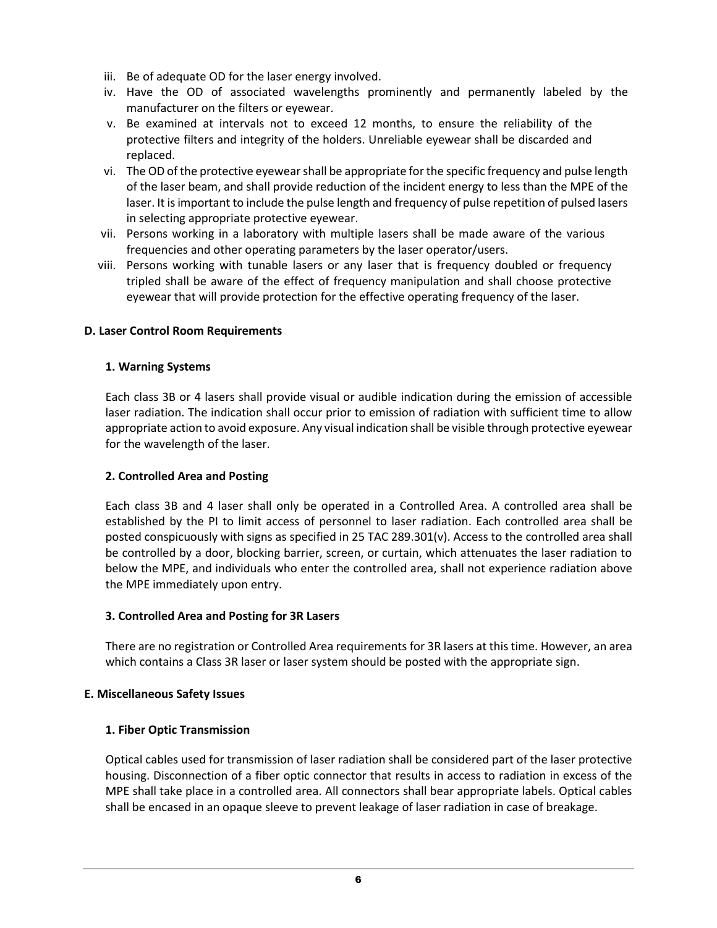- iii. Be of adequate OD for the laser energy involved.
- iv. Have the OD of associated wavelengths prominently and permanently labeled by the manufacturer on the filters or eyewear.
- v. Be examined at intervals not to exceed 12 months, to ensure the reliability of the protective filters and integrity of the holders. Unreliable eyewear shall be discarded and replaced.
- vi. The OD of the protective eyewear shall be appropriate for the specific frequency and pulse length of the laser beam, and shall provide reduction of the incident energy to less than the MPE of the laser. It is important to include the pulse length and frequency of pulse repetition of pulsed lasers in selecting appropriate protective eyewear.
- vii. Persons working in a laboratory with multiple lasers shall be made aware of the various frequencies and other operating parameters by the laser operator/users.
- viii. Persons working with tunable lasers or any laser that is frequency doubled or frequency tripled shall be aware of the effect of frequency manipulation and shall choose protective eyewear that will provide protection for the effective operating frequency of the laser.

### **D. Laser Control Room Requirements**

### **1. Warning Systems**

Each class 3B or 4 lasers shall provide visual or audible indication during the emission of accessible laser radiation. The indication shall occur prior to emission of radiation with sufficient time to allow appropriate action to avoid exposure. Any visual indication shall be visible through protective eyewear for the wavelength of the laser.

#### **2. Controlled Area and Posting**

Each class 3B and 4 laser shall only be operated in a Controlled Area. A controlled area shall be established by the PI to limit access of personnel to laser radiation. Each controlled area shall be posted conspicuously with signs as specified in 25 TAC 289.301(v). Access to the controlled area shall be controlled by a door, blocking barrier, screen, or curtain, which attenuates the laser radiation to below the MPE, and individuals who enter the controlled area, shall not experience radiation above the MPE immediately upon entry.

#### **3. Controlled Area and Posting for 3R Lasers**

There are no registration or Controlled Area requirements for 3R lasers at this time. However, an area which contains a Class 3R laser or laser system should be posted with the appropriate sign.

#### **E. Miscellaneous Safety Issues**

#### **1. Fiber Optic Transmission**

Optical cables used for transmission of laser radiation shall be considered part of the laser protective housing. Disconnection of a fiber optic connector that results in access to radiation in excess of the MPE shall take place in a controlled area. All connectors shall bear appropriate labels. Optical cables shall be encased in an opaque sleeve to prevent leakage of laser radiation in case of breakage.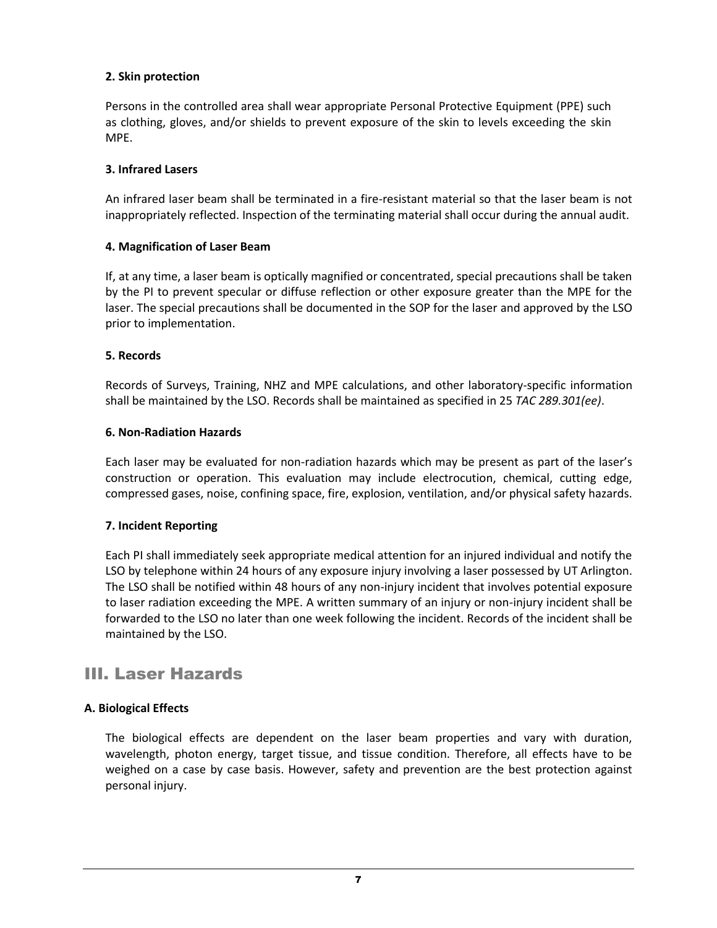# **2. Skin protection**

Persons in the controlled area shall wear appropriate Personal Protective Equipment (PPE) such as clothing, gloves, and/or shields to prevent exposure of the skin to levels exceeding the skin MPE.

#### **3. Infrared Lasers**

An infrared laser beam shall be terminated in a fire-resistant material so that the laser beam is not inappropriately reflected. Inspection of the terminating material shall occur during the annual audit.

#### **4. Magnification of Laser Beam**

If, at any time, a laser beam is optically magnified or concentrated, special precautions shall be taken by the PI to prevent specular or diffuse reflection or other exposure greater than the MPE for the laser. The special precautions shall be documented in the SOP for the laser and approved by the LSO prior to implementation.

#### **5. Records**

Records of Surveys, Training, NHZ and MPE calculations, and other laboratory-specific information shall be maintained by the LSO. Records shall be maintained as specified in 25 *TAC 289.301(ee)*.

#### **6. Non-Radiation Hazards**

Each laser may be evaluated for non-radiation hazards which may be present as part of the laser's construction or operation. This evaluation may include electrocution, chemical, cutting edge, compressed gases, noise, confining space, fire, explosion, ventilation, and/or physical safety hazards.

#### **7. Incident Reporting**

Each PI shall immediately seek appropriate medical attention for an injured individual and notify the LSO by telephone within 24 hours of any exposure injury involving a laser possessed by UT Arlington. The LSO shall be notified within 48 hours of any non-injury incident that involves potential exposure to laser radiation exceeding the MPE. A written summary of an injury or non-injury incident shall be forwarded to the LSO no later than one week following the incident. Records of the incident shall be maintained by the LSO.

# III. Laser Hazards

#### **A. Biological Effects**

The biological effects are dependent on the laser beam properties and vary with duration, wavelength, photon energy, target tissue, and tissue condition. Therefore, all effects have to be weighed on a case by case basis. However, safety and prevention are the best protection against personal injury.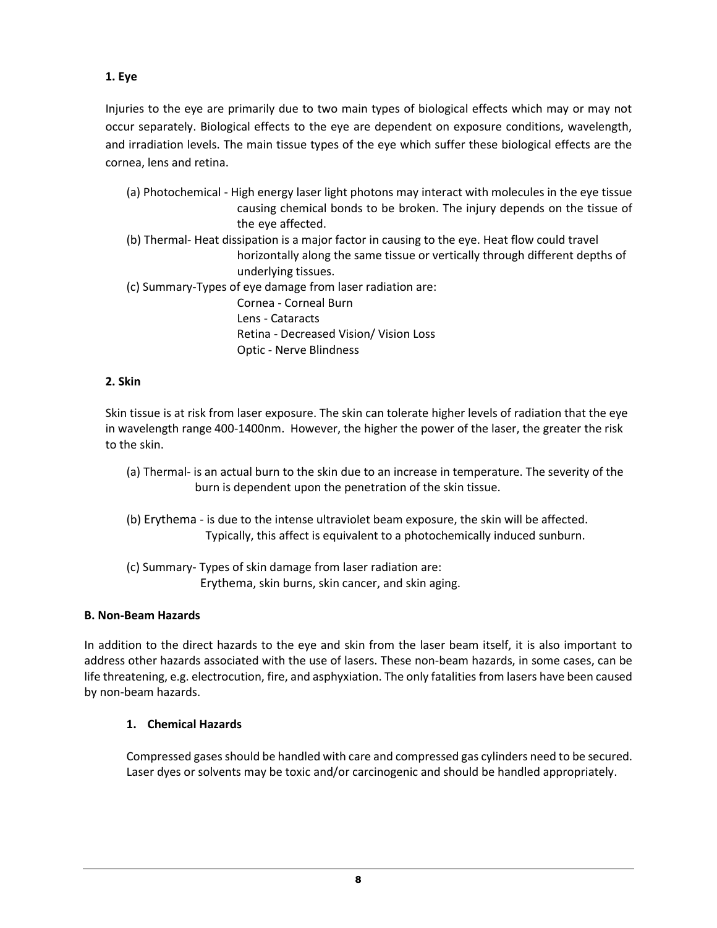**1. Eye**

Injuries to the eye are primarily due to two main types of biological effects which may or may not occur separately. Biological effects to the eye are dependent on exposure conditions, wavelength, and irradiation levels. The main tissue types of the eye which suffer these biological effects are the cornea, lens and retina.

- (a) Photochemical High energy laser light photons may interact with molecules in the eye tissue causing chemical bonds to be broken. The injury depends on the tissue of the eye affected.
- (b) Thermal- Heat dissipation is a major factor in causing to the eye. Heat flow could travel horizontally along the same tissue or vertically through different depths of underlying tissues.
- (c) Summary-Types of eye damage from laser radiation are: Cornea - Corneal Burn Lens - Cataracts Retina - Decreased Vision/ Vision Loss Optic - Nerve Blindness

# **2. Skin**

Skin tissue is at risk from laser exposure. The skin can tolerate higher levels of radiation that the eye in wavelength range 400-1400nm. However, the higher the power of the laser, the greater the risk to the skin.

- (a) Thermal- is an actual burn to the skin due to an increase in temperature. The severity of the burn is dependent upon the penetration of the skin tissue.
- (b) Erythema is due to the intense ultraviolet beam exposure, the skin will be affected. Typically, this affect is equivalent to a photochemically induced sunburn.
- (c) Summary- Types of skin damage from laser radiation are: Erythema, skin burns, skin cancer, and skin aging.

# **B. Non-Beam Hazards**

In addition to the direct hazards to the eye and skin from the laser beam itself, it is also important to address other hazards associated with the use of lasers. These non-beam hazards, in some cases, can be life threatening, e.g. electrocution, fire, and asphyxiation. The only fatalities from lasers have been caused by non-beam hazards.

# **1. Chemical Hazards**

Compressed gases should be handled with care and compressed gas cylinders need to be secured. Laser dyes or solvents may be toxic and/or carcinogenic and should be handled appropriately.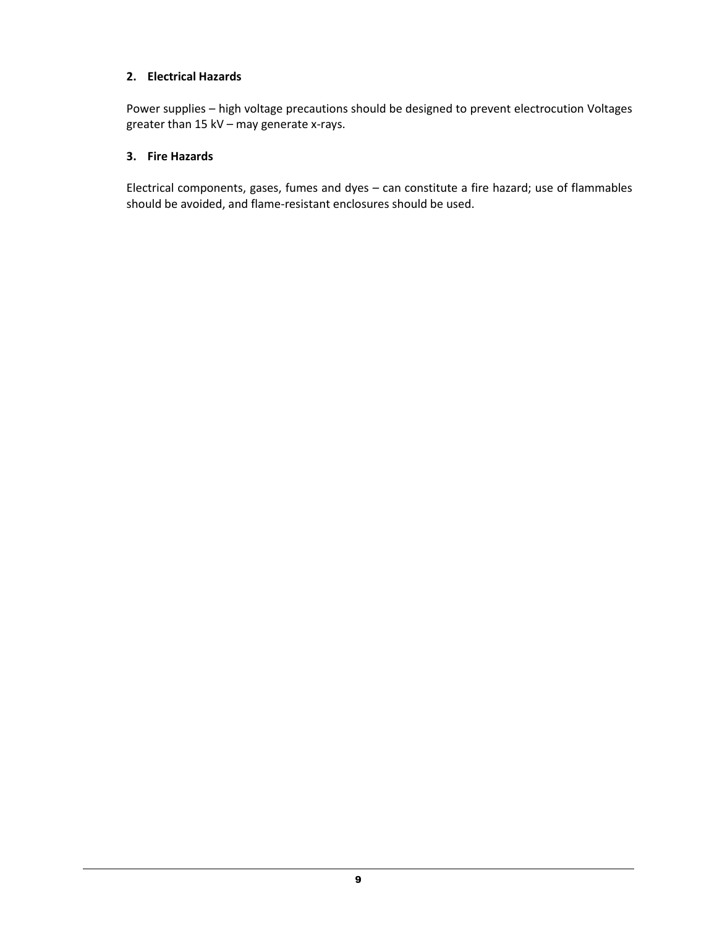### **2. Electrical Hazards**

Power supplies – high voltage precautions should be designed to prevent electrocution Voltages greater than 15 kV – may generate x-rays.

### **3. Fire Hazards**

Electrical components, gases, fumes and dyes – can constitute a fire hazard; use of flammables should be avoided, and flame-resistant enclosures should be used.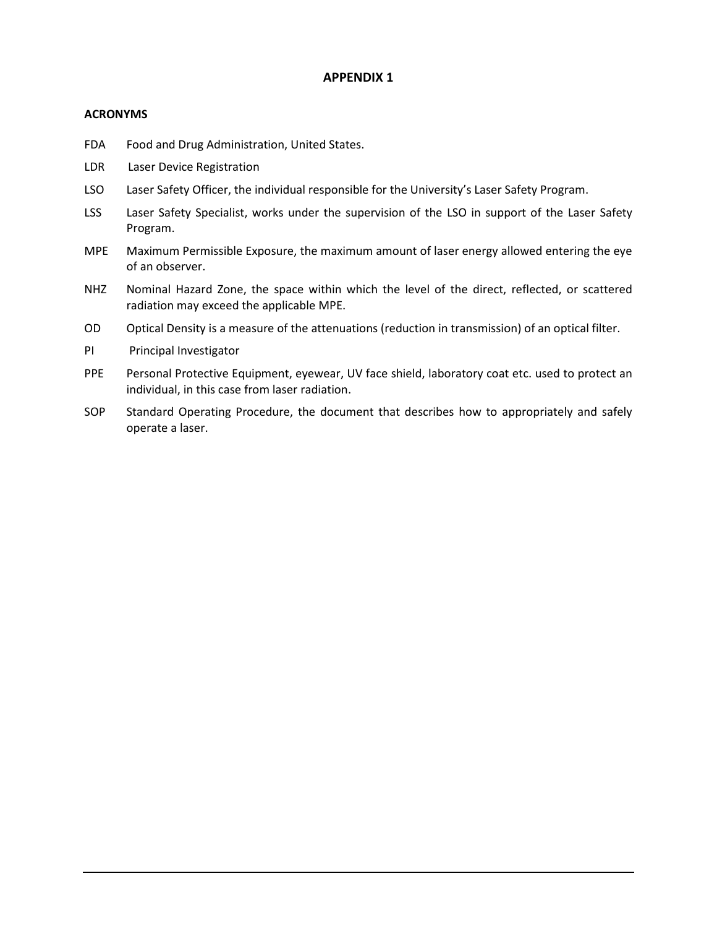#### **APPENDIX 1**

#### **ACRONYMS**

- FDA Food and Drug Administration, United States.
- LDR Laser Device Registration
- LSO Laser Safety Officer, the individual responsible for the University's Laser Safety Program.
- LSS Laser Safety Specialist, works under the supervision of the LSO in support of the Laser Safety Program.
- MPE Maximum Permissible Exposure, the maximum amount of laser energy allowed entering the eye of an observer.
- NHZ Nominal Hazard Zone, the space within which the level of the direct, reflected, or scattered radiation may exceed the applicable MPE.
- OD Optical Density is a measure of the attenuations (reduction in transmission) of an optical filter.
- PI Principal Investigator
- PPE Personal Protective Equipment, eyewear, UV face shield, laboratory coat etc. used to protect an individual, in this case from laser radiation.
- SOP Standard Operating Procedure, the document that describes how to appropriately and safely operate a laser.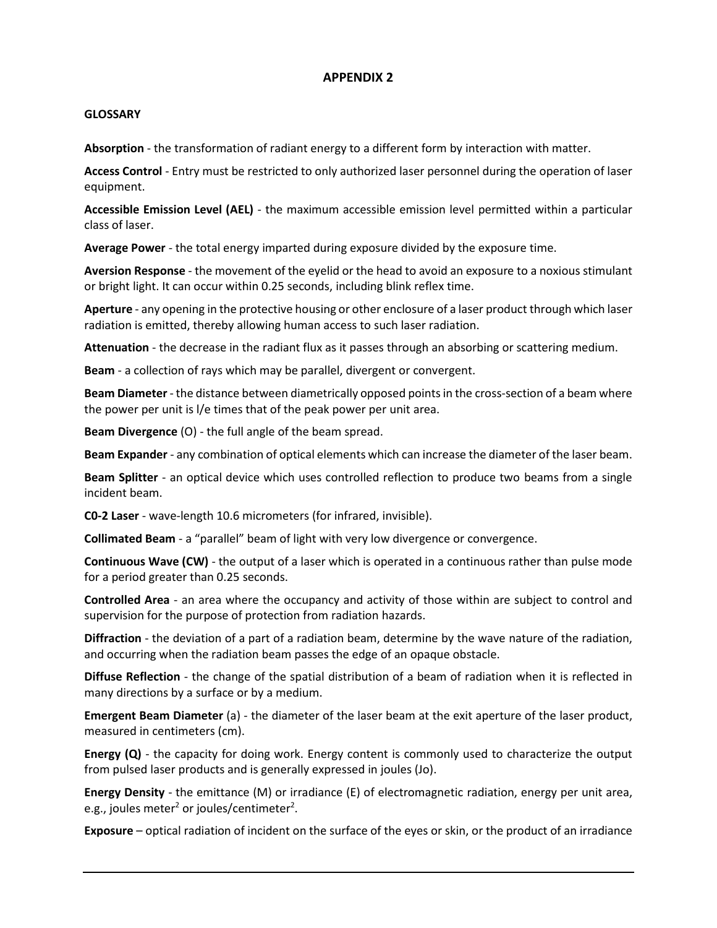#### **APPENDIX 2**

#### **GLOSSARY**

**Absorption** - the transformation of radiant energy to a different form by interaction with matter.

**Access Control** - Entry must be restricted to only authorized laser personnel during the operation of laser equipment.

**Accessible Emission Level (AEL)** - the maximum accessible emission level permitted within a particular class of laser.

**Average Power** - the total energy imparted during exposure divided by the exposure time.

**Aversion Response** - the movement of the eyelid or the head to avoid an exposure to a noxious stimulant or bright light. It can occur within 0.25 seconds, including blink reflex time.

**Aperture** - any opening in the protective housing or other enclosure of a laser product through which laser radiation is emitted, thereby allowing human access to such laser radiation.

**Attenuation** - the decrease in the radiant flux as it passes through an absorbing or scattering medium.

**Beam** - a collection of rays which may be parallel, divergent or convergent.

**Beam Diameter**- the distance between diametrically opposed points in the cross-section of a beam where the power per unit is l/e times that of the peak power per unit area.

**Beam Divergence** (O) - the full angle of the beam spread.

**Beam Expander** - any combination of optical elements which can increase the diameter of the laser beam.

**Beam Splitter** - an optical device which uses controlled reflection to produce two beams from a single incident beam.

**C0-2 Laser** - wave-length 10.6 micrometers (for infrared, invisible).

**Collimated Beam** - a "parallel" beam of light with very low divergence or convergence.

**Continuous Wave (CW)** - the output of a laser which is operated in a continuous rather than pulse mode for a period greater than 0.25 seconds.

**Controlled Area** - an area where the occupancy and activity of those within are subject to control and supervision for the purpose of protection from radiation hazards.

**Diffraction** - the deviation of a part of a radiation beam, determine by the wave nature of the radiation, and occurring when the radiation beam passes the edge of an opaque obstacle.

**Diffuse Reflection** - the change of the spatial distribution of a beam of radiation when it is reflected in many directions by a surface or by a medium.

**Emergent Beam Diameter** (a) - the diameter of the laser beam at the exit aperture of the laser product, measured in centimeters (cm).

**Energy (Q)** - the capacity for doing work. Energy content is commonly used to characterize the output from pulsed laser products and is generally expressed in joules (Jo).

**Energy Density** - the emittance (M) or irradiance (E) of electromagnetic radiation, energy per unit area, e.g., joules meter $^2$  or joules/centimeter $^2$ .

**Exposure** – optical radiation of incident on the surface of the eyes or skin, or the product of an irradiance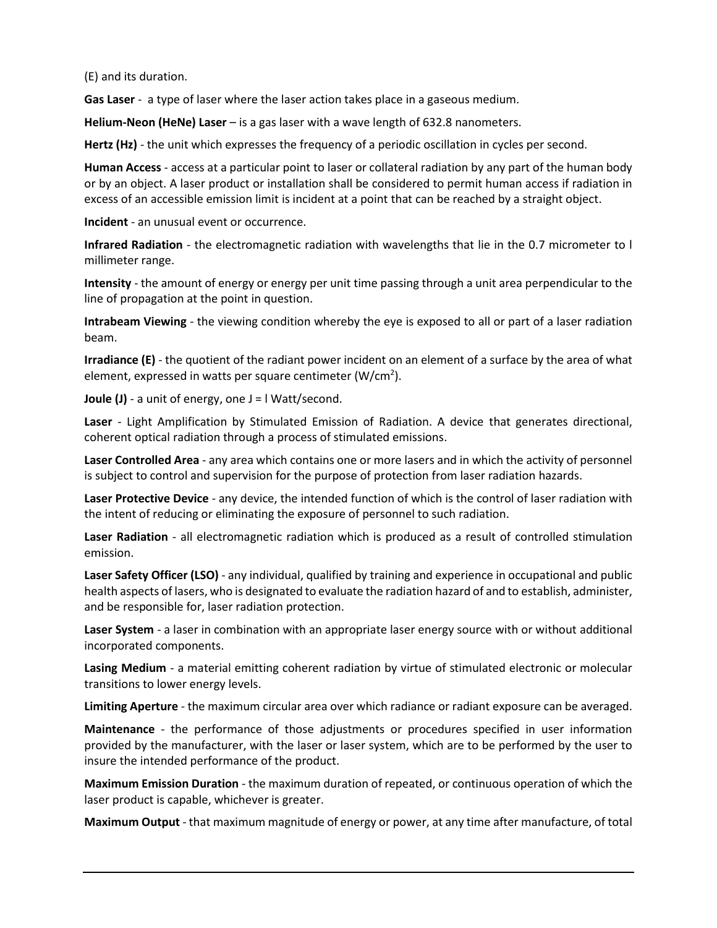(E) and its duration.

**Gas Laser** - a type of laser where the laser action takes place in a gaseous medium.

**Helium-Neon (HeNe) Laser** – is a gas laser with a wave length of 632.8 nanometers.

**Hertz (Hz)** - the unit which expresses the frequency of a periodic oscillation in cycles per second.

**Human Access** - access at a particular point to laser or collateral radiation by any part of the human body or by an object. A laser product or installation shall be considered to permit human access if radiation in excess of an accessible emission limit is incident at a point that can be reached by a straight object.

**Incident** - an unusual event or occurrence.

**Infrared Radiation** - the electromagnetic radiation with wavelengths that lie in the 0.7 micrometer to l millimeter range.

**Intensity** - the amount of energy or energy per unit time passing through a unit area perpendicular to the line of propagation at the point in question.

**Intrabeam Viewing** - the viewing condition whereby the eye is exposed to all or part of a laser radiation beam.

**Irradiance (E)** - the quotient of the radiant power incident on an element of a surface by the area of what element, expressed in watts per square centimeter (W/cm<sup>2</sup>).

**Joule (J)** - a unit of energy, one J = I Watt/second.

**Laser** - Light Amplification by Stimulated Emission of Radiation. A device that generates directional, coherent optical radiation through a process of stimulated emissions.

**Laser Controlled Area** - any area which contains one or more lasers and in which the activity of personnel is subject to control and supervision for the purpose of protection from laser radiation hazards.

**Laser Protective Device** - any device, the intended function of which is the control of laser radiation with the intent of reducing or eliminating the exposure of personnel to such radiation.

**Laser Radiation** - all electromagnetic radiation which is produced as a result of controlled stimulation emission.

**Laser Safety Officer (LSO)** - any individual, qualified by training and experience in occupational and public health aspects of lasers, who is designated to evaluate the radiation hazard of and to establish, administer, and be responsible for, laser radiation protection.

**Laser System** - a laser in combination with an appropriate laser energy source with or without additional incorporated components.

**Lasing Medium** - a material emitting coherent radiation by virtue of stimulated electronic or molecular transitions to lower energy levels.

**Limiting Aperture** - the maximum circular area over which radiance or radiant exposure can be averaged.

**Maintenance** - the performance of those adjustments or procedures specified in user information provided by the manufacturer, with the laser or laser system, which are to be performed by the user to insure the intended performance of the product.

**Maximum Emission Duration** - the maximum duration of repeated, or continuous operation of which the laser product is capable, whichever is greater.

**Maximum Output** - that maximum magnitude of energy or power, at any time after manufacture, of total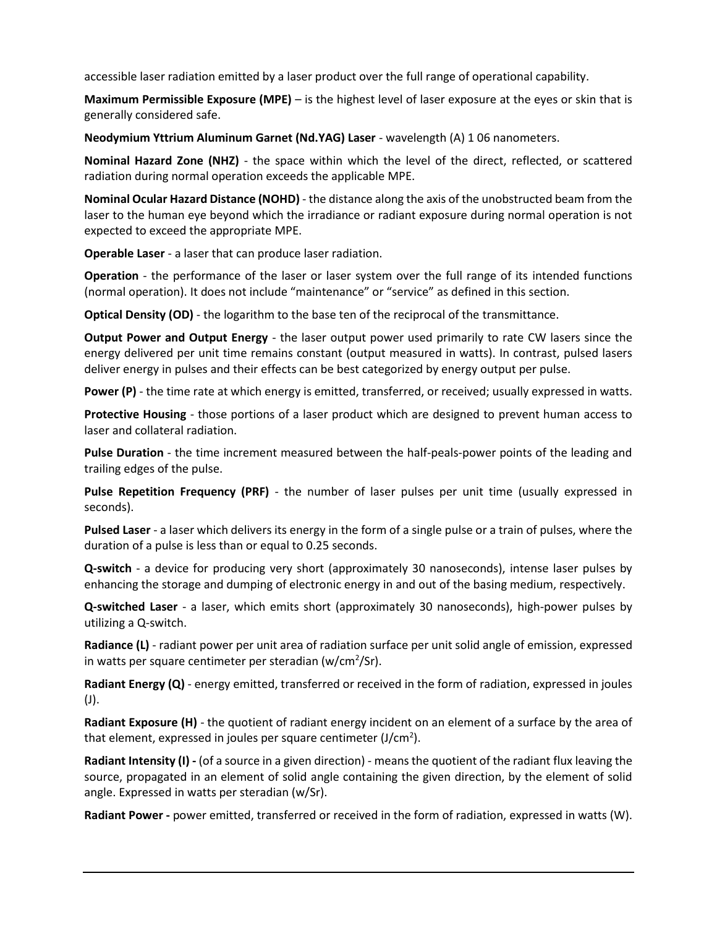accessible laser radiation emitted by a laser product over the full range of operational capability.

**Maximum Permissible Exposure (MPE)** – is the highest level of laser exposure at the eyes or skin that is generally considered safe.

**Neodymium Yttrium Aluminum Garnet (Nd.YAG) Laser** - wavelength (A) 1 06 nanometers.

**Nominal Hazard Zone (NHZ)** - the space within which the level of the direct, reflected, or scattered radiation during normal operation exceeds the applicable MPE.

**Nominal Ocular Hazard Distance (NOHD)** - the distance along the axis of the unobstructed beam from the laser to the human eye beyond which the irradiance or radiant exposure during normal operation is not expected to exceed the appropriate MPE.

**Operable Laser** - a laser that can produce laser radiation.

**Operation** - the performance of the laser or laser system over the full range of its intended functions (normal operation). It does not include "maintenance" or "service" as defined in this section.

**Optical Density (OD)** - the logarithm to the base ten of the reciprocal of the transmittance.

**Output Power and Output Energy** - the laser output power used primarily to rate CW lasers since the energy delivered per unit time remains constant (output measured in watts). In contrast, pulsed lasers deliver energy in pulses and their effects can be best categorized by energy output per pulse.

**Power (P)** - the time rate at which energy is emitted, transferred, or received; usually expressed in watts.

**Protective Housing** - those portions of a laser product which are designed to prevent human access to laser and collateral radiation.

**Pulse Duration** - the time increment measured between the half-peals-power points of the leading and trailing edges of the pulse.

**Pulse Repetition Frequency (PRF)** - the number of laser pulses per unit time (usually expressed in seconds).

**Pulsed Laser** - a laser which delivers its energy in the form of a single pulse or a train of pulses, where the duration of a pulse is less than or equal to 0.25 seconds.

**Q-switch** - a device for producing very short (approximately 30 nanoseconds), intense laser pulses by enhancing the storage and dumping of electronic energy in and out of the basing medium, respectively.

**Q-switched Laser** - a laser, which emits short (approximately 30 nanoseconds), high-power pulses by utilizing a Q-switch.

**Radiance (L)** - radiant power per unit area of radiation surface per unit solid angle of emission, expressed in watts per square centimeter per steradian (w/cm<sup>2</sup>/Sr).

**Radiant Energy (Q)** - energy emitted, transferred or received in the form of radiation, expressed in joules (J).

**Radiant Exposure (H)** - the quotient of radiant energy incident on an element of a surface by the area of that element, expressed in joules per square centimeter (J/cm<sup>2</sup>).

**Radiant Intensity (I) -** (of a source in a given direction) - means the quotient of the radiant flux leaving the source, propagated in an element of solid angle containing the given direction, by the element of solid angle. Expressed in watts per steradian (w/Sr).

**Radiant Power -** power emitted, transferred or received in the form of radiation, expressed in watts (W).